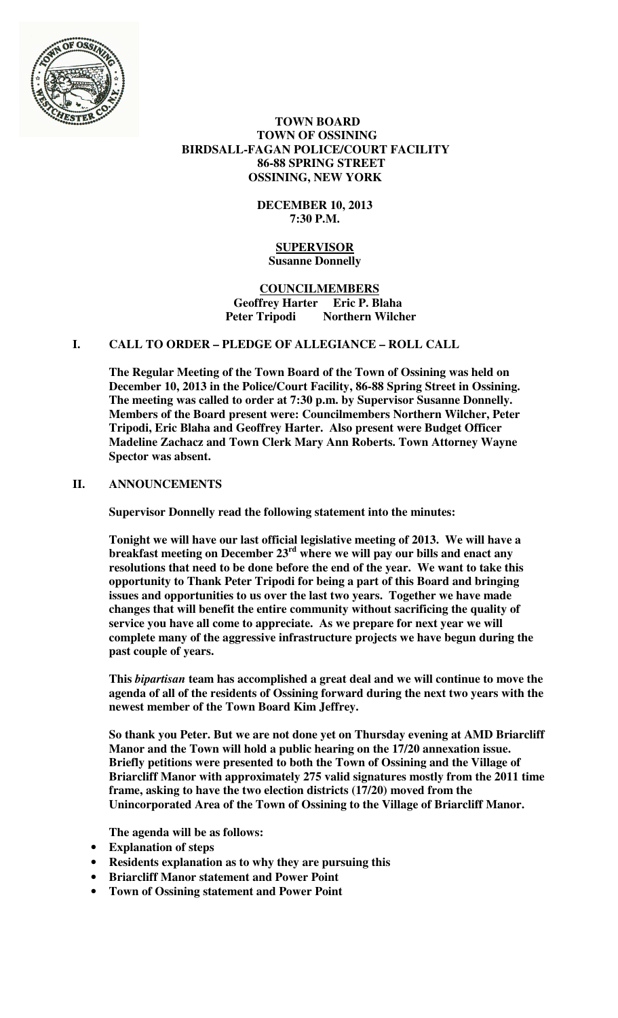

## **TOWN BOARD TOWN OF OSSINING BIRDSALL-FAGAN POLICE/COURT FACILITY 86-88 SPRING STREET OSSINING, NEW YORK**

# **DECEMBER 10, 2013 7:30 P.M.**

# **SUPERVISOR Susanne Donnelly**

## **COUNCILMEMBERS Geoffrey Harter Eric P. Blaha Peter Tripodi Northern Wilcher**

# **I. CALL TO ORDER – PLEDGE OF ALLEGIANCE – ROLL CALL**

**The Regular Meeting of the Town Board of the Town of Ossining was held on December 10, 2013 in the Police/Court Facility, 86-88 Spring Street in Ossining. The meeting was called to order at 7:30 p.m. by Supervisor Susanne Donnelly. Members of the Board present were: Councilmembers Northern Wilcher, Peter Tripodi, Eric Blaha and Geoffrey Harter. Also present were Budget Officer Madeline Zachacz and Town Clerk Mary Ann Roberts. Town Attorney Wayne Spector was absent.** 

## **II. ANNOUNCEMENTS**

**Supervisor Donnelly read the following statement into the minutes:** 

**Tonight we will have our last official legislative meeting of 2013. We will have a breakfast meeting on December 23rd where we will pay our bills and enact any resolutions that need to be done before the end of the year. We want to take this opportunity to Thank Peter Tripodi for being a part of this Board and bringing issues and opportunities to us over the last two years. Together we have made changes that will benefit the entire community without sacrificing the quality of service you have all come to appreciate. As we prepare for next year we will complete many of the aggressive infrastructure projects we have begun during the past couple of years.** 

**This** *bipartisan* **team has accomplished a great deal and we will continue to move the agenda of all of the residents of Ossining forward during the next two years with the newest member of the Town Board Kim Jeffrey.** 

**So thank you Peter. But we are not done yet on Thursday evening at AMD Briarcliff Manor and the Town will hold a public hearing on the 17/20 annexation issue. Briefly petitions were presented to both the Town of Ossining and the Village of Briarcliff Manor with approximately 275 valid signatures mostly from the 2011 time frame, asking to have the two election districts (17/20) moved from the Unincorporated Area of the Town of Ossining to the Village of Briarcliff Manor.** 

**The agenda will be as follows:** 

- **Explanation of steps**
- **Residents explanation as to why they are pursuing this**
- **Briarcliff Manor statement and Power Point**
- **Town of Ossining statement and Power Point**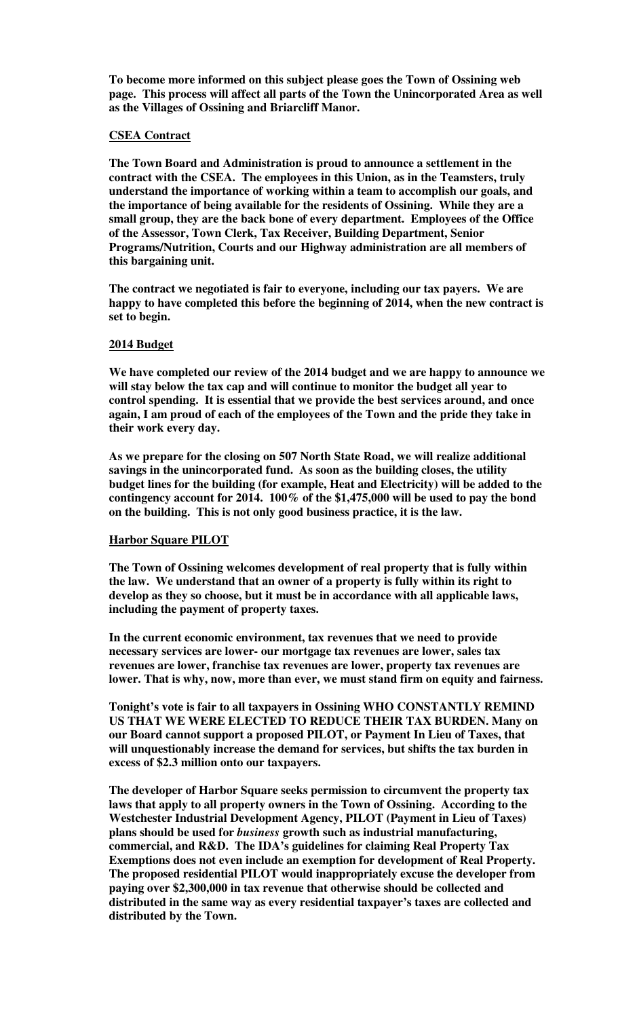**To become more informed on this subject please goes the Town of Ossining web page. This process will affect all parts of the Town the Unincorporated Area as well as the Villages of Ossining and Briarcliff Manor.** 

### **CSEA Contract**

**The Town Board and Administration is proud to announce a settlement in the contract with the CSEA. The employees in this Union, as in the Teamsters, truly understand the importance of working within a team to accomplish our goals, and the importance of being available for the residents of Ossining. While they are a small group, they are the back bone of every department. Employees of the Office of the Assessor, Town Clerk, Tax Receiver, Building Department, Senior Programs/Nutrition, Courts and our Highway administration are all members of this bargaining unit.** 

**The contract we negotiated is fair to everyone, including our tax payers. We are happy to have completed this before the beginning of 2014, when the new contract is set to begin.** 

### **2014 Budget**

**We have completed our review of the 2014 budget and we are happy to announce we will stay below the tax cap and will continue to monitor the budget all year to control spending. It is essential that we provide the best services around, and once again, I am proud of each of the employees of the Town and the pride they take in their work every day.** 

**As we prepare for the closing on 507 North State Road, we will realize additional savings in the unincorporated fund. As soon as the building closes, the utility budget lines for the building (for example, Heat and Electricity) will be added to the contingency account for 2014. 100% of the \$1,475,000 will be used to pay the bond on the building. This is not only good business practice, it is the law.** 

#### **Harbor Square PILOT**

**The Town of Ossining welcomes development of real property that is fully within the law. We understand that an owner of a property is fully within its right to develop as they so choose, but it must be in accordance with all applicable laws, including the payment of property taxes.** 

**In the current economic environment, tax revenues that we need to provide necessary services are lower- our mortgage tax revenues are lower, sales tax revenues are lower, franchise tax revenues are lower, property tax revenues are lower. That is why, now, more than ever, we must stand firm on equity and fairness.** 

**Tonight's vote is fair to all taxpayers in Ossining WHO CONSTANTLY REMIND US THAT WE WERE ELECTED TO REDUCE THEIR TAX BURDEN. Many on our Board cannot support a proposed PILOT, or Payment In Lieu of Taxes, that will unquestionably increase the demand for services, but shifts the tax burden in excess of \$2.3 million onto our taxpayers.** 

**The developer of Harbor Square seeks permission to circumvent the property tax laws that apply to all property owners in the Town of Ossining. According to the Westchester Industrial Development Agency, PILOT (Payment in Lieu of Taxes) plans should be used for** *business* **growth such as industrial manufacturing, commercial, and R&D. The IDA's guidelines for claiming Real Property Tax Exemptions does not even include an exemption for development of Real Property. The proposed residential PILOT would inappropriately excuse the developer from paying over \$2,300,000 in tax revenue that otherwise should be collected and distributed in the same way as every residential taxpayer's taxes are collected and distributed by the Town.**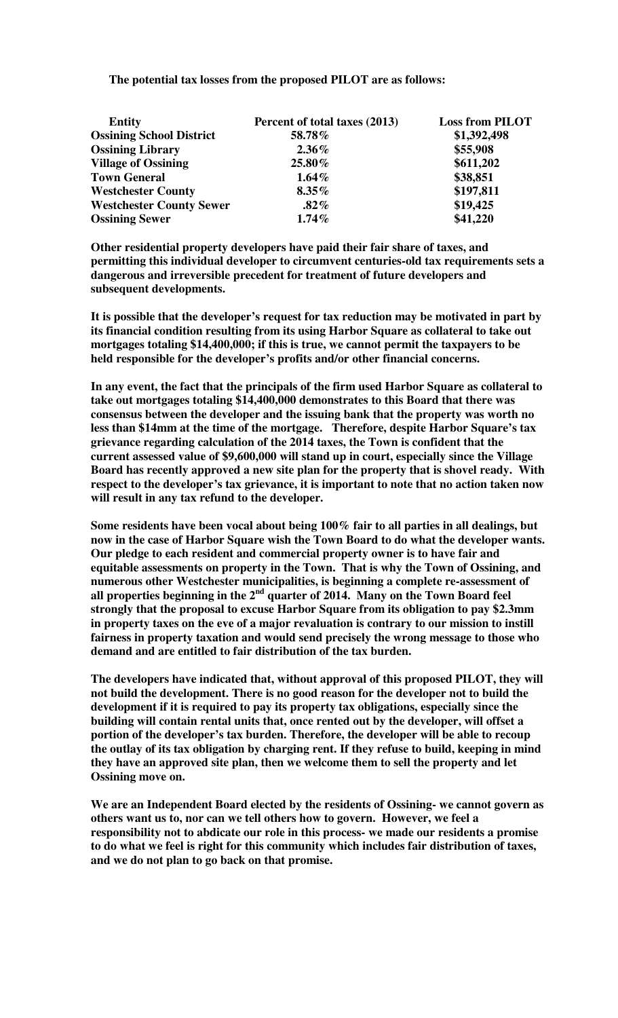|  |  |  |  |  | The potential tax losses from the proposed PILOT are as follows: |
|--|--|--|--|--|------------------------------------------------------------------|
|--|--|--|--|--|------------------------------------------------------------------|

| <b>Entity</b>                   | Percent of total taxes (2013) | <b>Loss from PILOT</b> |
|---------------------------------|-------------------------------|------------------------|
| <b>Ossining School District</b> | 58.78%                        | \$1,392,498            |
| <b>Ossining Library</b>         | $2.36\%$                      | \$55,908               |
| <b>Village of Ossining</b>      | 25.80%                        | \$611,202              |
| <b>Town General</b>             | $1.64\%$                      | \$38,851               |
| <b>Westchester County</b>       | $8.35\%$                      | \$197,811              |
| <b>Westchester County Sewer</b> | $.82\%$                       | \$19,425               |
| <b>Ossining Sewer</b>           | $1.74\%$                      | \$41,220               |

**Other residential property developers have paid their fair share of taxes, and permitting this individual developer to circumvent centuries-old tax requirements sets a dangerous and irreversible precedent for treatment of future developers and subsequent developments.** 

**It is possible that the developer's request for tax reduction may be motivated in part by its financial condition resulting from its using Harbor Square as collateral to take out mortgages totaling \$14,400,000; if this is true, we cannot permit the taxpayers to be held responsible for the developer's profits and/or other financial concerns.** 

**In any event, the fact that the principals of the firm used Harbor Square as collateral to take out mortgages totaling \$14,400,000 demonstrates to this Board that there was consensus between the developer and the issuing bank that the property was worth no less than \$14mm at the time of the mortgage. Therefore, despite Harbor Square's tax grievance regarding calculation of the 2014 taxes, the Town is confident that the current assessed value of \$9,600,000 will stand up in court, especially since the Village Board has recently approved a new site plan for the property that is shovel ready. With respect to the developer's tax grievance, it is important to note that no action taken now will result in any tax refund to the developer.** 

**Some residents have been vocal about being 100% fair to all parties in all dealings, but now in the case of Harbor Square wish the Town Board to do what the developer wants. Our pledge to each resident and commercial property owner is to have fair and equitable assessments on property in the Town. That is why the Town of Ossining, and numerous other Westchester municipalities, is beginning a complete re-assessment of all properties beginning in the 2nd quarter of 2014. Many on the Town Board feel strongly that the proposal to excuse Harbor Square from its obligation to pay \$2.3mm in property taxes on the eve of a major revaluation is contrary to our mission to instill fairness in property taxation and would send precisely the wrong message to those who demand and are entitled to fair distribution of the tax burden.** 

**The developers have indicated that, without approval of this proposed PILOT, they will not build the development. There is no good reason for the developer not to build the development if it is required to pay its property tax obligations, especially since the building will contain rental units that, once rented out by the developer, will offset a portion of the developer's tax burden. Therefore, the developer will be able to recoup the outlay of its tax obligation by charging rent. If they refuse to build, keeping in mind they have an approved site plan, then we welcome them to sell the property and let Ossining move on.** 

**We are an Independent Board elected by the residents of Ossining- we cannot govern as others want us to, nor can we tell others how to govern. However, we feel a responsibility not to abdicate our role in this process- we made our residents a promise to do what we feel is right for this community which includes fair distribution of taxes, and we do not plan to go back on that promise.**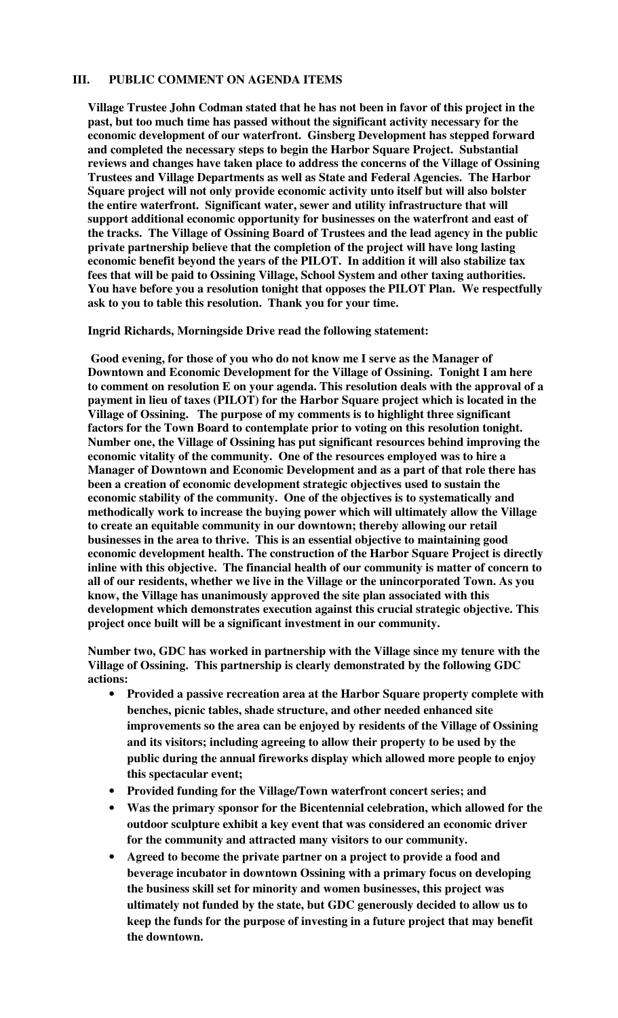## **III. PUBLIC COMMENT ON AGENDA ITEMS**

**Village Trustee John Codman stated that he has not been in favor of this project in the past, but too much time has passed without the significant activity necessary for the economic development of our waterfront. Ginsberg Development has stepped forward and completed the necessary steps to begin the Harbor Square Project. Substantial reviews and changes have taken place to address the concerns of the Village of Ossining Trustees and Village Departments as well as State and Federal Agencies. The Harbor Square project will not only provide economic activity unto itself but will also bolster the entire waterfront. Significant water, sewer and utility infrastructure that will support additional economic opportunity for businesses on the waterfront and east of the tracks. The Village of Ossining Board of Trustees and the lead agency in the public private partnership believe that the completion of the project will have long lasting economic benefit beyond the years of the PILOT. In addition it will also stabilize tax fees that will be paid to Ossining Village, School System and other taxing authorities. You have before you a resolution tonight that opposes the PILOT Plan. We respectfully ask to you to table this resolution. Thank you for your time.** 

**Ingrid Richards, Morningside Drive read the following statement:** 

**Good evening, for those of you who do not know me I serve as the Manager of Downtown and Economic Development for the Village of Ossining. Tonight I am here to comment on resolution E on your agenda. This resolution deals with the approval of a payment in lieu of taxes (PILOT) for the Harbor Square project which is located in the Village of Ossining. The purpose of my comments is to highlight three significant factors for the Town Board to contemplate prior to voting on this resolution tonight. Number one, the Village of Ossining has put significant resources behind improving the economic vitality of the community. One of the resources employed was to hire a Manager of Downtown and Economic Development and as a part of that role there has been a creation of economic development strategic objectives used to sustain the economic stability of the community. One of the objectives is to systematically and methodically work to increase the buying power which will ultimately allow the Village to create an equitable community in our downtown; thereby allowing our retail businesses in the area to thrive. This is an essential objective to maintaining good economic development health. The construction of the Harbor Square Project is directly inline with this objective. The financial health of our community is matter of concern to all of our residents, whether we live in the Village or the unincorporated Town. As you know, the Village has unanimously approved the site plan associated with this development which demonstrates execution against this crucial strategic objective. This project once built will be a significant investment in our community.**

**Number two, GDC has worked in partnership with the Village since my tenure with the Village of Ossining. This partnership is clearly demonstrated by the following GDC actions:** 

- **Provided a passive recreation area at the Harbor Square property complete with benches, picnic tables, shade structure, and other needed enhanced site improvements so the area can be enjoyed by residents of the Village of Ossining and its visitors; including agreeing to allow their property to be used by the public during the annual fireworks display which allowed more people to enjoy this spectacular event;**
- **Provided funding for the Village/Town waterfront concert series; and**
- **Was the primary sponsor for the Bicentennial celebration, which allowed for the outdoor sculpture exhibit a key event that was considered an economic driver for the community and attracted many visitors to our community.**
- **Agreed to become the private partner on a project to provide a food and beverage incubator in downtown Ossining with a primary focus on developing the business skill set for minority and women businesses, this project was ultimately not funded by the state, but GDC generously decided to allow us to keep the funds for the purpose of investing in a future project that may benefit the downtown.**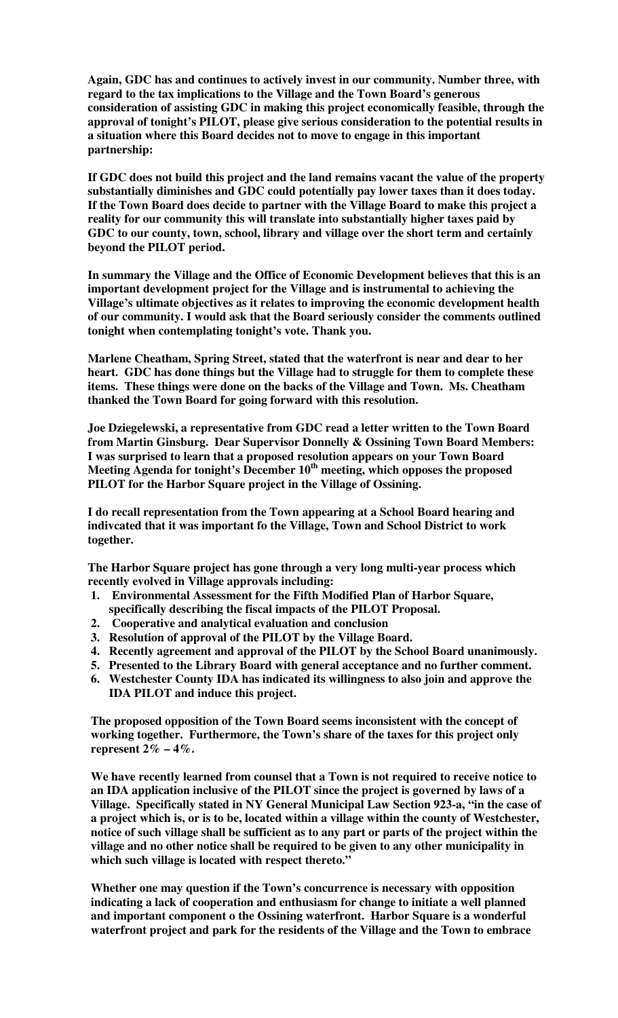**Again, GDC has and continues to actively invest in our community. Number three, with regard to the tax implications to the Village and the Town Board's generous consideration of assisting GDC in making this project economically feasible, through the approval of tonight's PILOT, please give serious consideration to the potential results in a situation where this Board decides not to move to engage in this important partnership:** 

**If GDC does not build this project and the land remains vacant the value of the property substantially diminishes and GDC could potentially pay lower taxes than it does today. If the Town Board does decide to partner with the Village Board to make this project a reality for our community this will translate into substantially higher taxes paid by GDC to our county, town, school, library and village over the short term and certainly beyond the PILOT period.** 

**In summary the Village and the Office of Economic Development believes that this is an important development project for the Village and is instrumental to achieving the Village's ultimate objectives as it relates to improving the economic development health of our community. I would ask that the Board seriously consider the comments outlined tonight when contemplating tonight's vote. Thank you.** 

**Marlene Cheatham, Spring Street, stated that the waterfront is near and dear to her heart. GDC has done things but the Village had to struggle for them to complete these items. These things were done on the backs of the Village and Town. Ms. Cheatham thanked the Town Board for going forward with this resolution.** 

**Joe Dziegelewski, a representative from GDC read a letter written to the Town Board from Martin Ginsburg. Dear Supervisor Donnelly & Ossining Town Board Members: I was surprised to learn that a proposed resolution appears on your Town Board Meeting Agenda for tonight's December 10th meeting, which opposes the proposed PILOT for the Harbor Square project in the Village of Ossining.** 

**I do recall representation from the Town appearing at a School Board hearing and indivcated that it was important fo the Village, Town and School District to work together.** 

**The Harbor Square project has gone through a very long multi-year process which recently evolved in Village approvals including:** 

- **1. Environmental Assessment for the Fifth Modified Plan of Harbor Square, specifically describing the fiscal impacts of the PILOT Proposal.**
- **2. Cooperative and analytical evaluation and conclusion**
- **3. Resolution of approval of the PILOT by the Village Board.**
- **4. Recently agreement and approval of the PILOT by the School Board unanimously.**
- **5. Presented to the Library Board with general acceptance and no further comment.**
- **6. Westchester County IDA has indicated its willingness to also join and approve the IDA PILOT and induce this project.**

**The proposed opposition of the Town Board seems inconsistent with the concept of working together. Furthermore, the Town's share of the taxes for this project only represent 2% – 4%.** 

**We have recently learned from counsel that a Town is not required to receive notice to an IDA application inclusive of the PILOT since the project is governed by laws of a Village. Specifically stated in NY General Municipal Law Section 923-a, "in the case of a project which is, or is to be, located within a village within the county of Westchester, notice of such village shall be sufficient as to any part or parts of the project within the village and no other notice shall be required to be given to any other municipality in which such village is located with respect thereto."** 

**Whether one may question if the Town's concurrence is necessary with opposition indicating a lack of cooperation and enthusiasm for change to initiate a well planned and important component o the Ossining waterfront. Harbor Square is a wonderful waterfront project and park for the residents of the Village and the Town to embrace**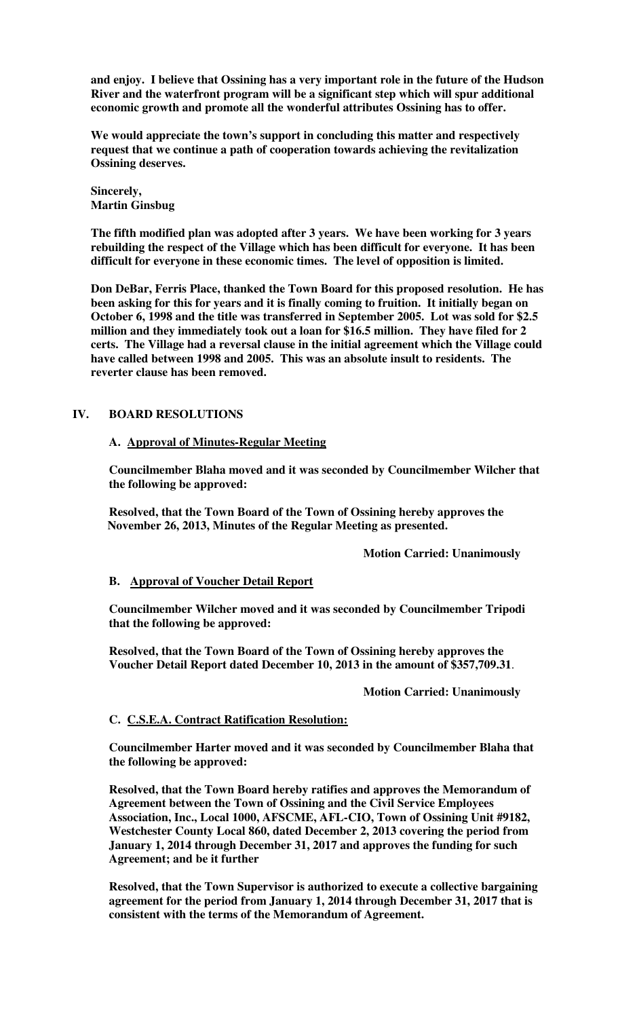**and enjoy. I believe that Ossining has a very important role in the future of the Hudson River and the waterfront program will be a significant step which will spur additional economic growth and promote all the wonderful attributes Ossining has to offer.** 

**We would appreciate the town's support in concluding this matter and respectively request that we continue a path of cooperation towards achieving the revitalization Ossining deserves.** 

**Sincerely, Martin Ginsbug** 

**The fifth modified plan was adopted after 3 years. We have been working for 3 years rebuilding the respect of the Village which has been difficult for everyone. It has been difficult for everyone in these economic times. The level of opposition is limited.** 

**Don DeBar, Ferris Place, thanked the Town Board for this proposed resolution. He has been asking for this for years and it is finally coming to fruition. It initially began on October 6, 1998 and the title was transferred in September 2005. Lot was sold for \$2.5 million and they immediately took out a loan for \$16.5 million. They have filed for 2 certs. The Village had a reversal clause in the initial agreement which the Village could have called between 1998 and 2005. This was an absolute insult to residents. The reverter clause has been removed.** 

## **IV. BOARD RESOLUTIONS**

## **A. Approval of Minutes-Regular Meeting**

**Councilmember Blaha moved and it was seconded by Councilmember Wilcher that the following be approved:** 

**Resolved, that the Town Board of the Town of Ossining hereby approves the November 26, 2013, Minutes of the Regular Meeting as presented.** 

 **Motion Carried: Unanimously** 

## **B. Approval of Voucher Detail Report**

**Councilmember Wilcher moved and it was seconded by Councilmember Tripodi that the following be approved:** 

**Resolved, that the Town Board of the Town of Ossining hereby approves the Voucher Detail Report dated December 10, 2013 in the amount of \$357,709.31**.

#### **Motion Carried: Unanimously**

## **C. C.S.E.A. Contract Ratification Resolution:**

**Councilmember Harter moved and it was seconded by Councilmember Blaha that the following be approved:** 

**Resolved, that the Town Board hereby ratifies and approves the Memorandum of Agreement between the Town of Ossining and the Civil Service Employees Association, Inc., Local 1000, AFSCME, AFL-CIO, Town of Ossining Unit #9182, Westchester County Local 860, dated December 2, 2013 covering the period from January 1, 2014 through December 31, 2017 and approves the funding for such Agreement; and be it further** 

**Resolved, that the Town Supervisor is authorized to execute a collective bargaining agreement for the period from January 1, 2014 through December 31, 2017 that is consistent with the terms of the Memorandum of Agreement.**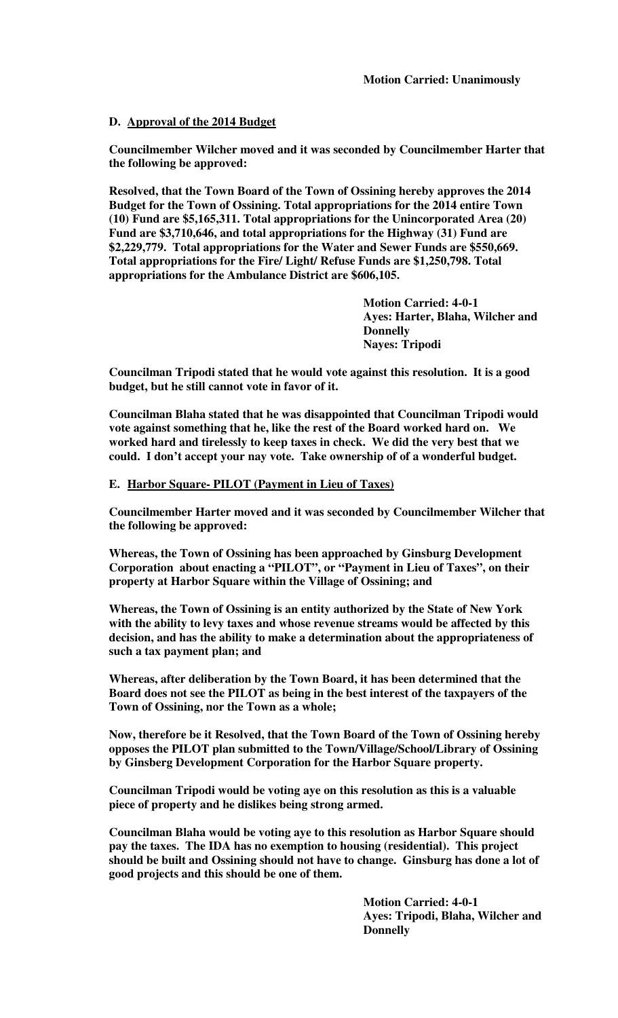# **D. Approval of the 2014 Budget**

**Councilmember Wilcher moved and it was seconded by Councilmember Harter that the following be approved:** 

**Resolved, that the Town Board of the Town of Ossining hereby approves the 2014 Budget for the Town of Ossining. Total appropriations for the 2014 entire Town (10) Fund are \$5,165,311. Total appropriations for the Unincorporated Area (20) Fund are \$3,710,646, and total appropriations for the Highway (31) Fund are \$2,229,779. Total appropriations for the Water and Sewer Funds are \$550,669. Total appropriations for the Fire/ Light/ Refuse Funds are \$1,250,798. Total appropriations for the Ambulance District are \$606,105.** 

> **Motion Carried: 4-0-1 Ayes: Harter, Blaha, Wilcher and Donnelly Nayes: Tripodi**

**Councilman Tripodi stated that he would vote against this resolution. It is a good budget, but he still cannot vote in favor of it.** 

**Councilman Blaha stated that he was disappointed that Councilman Tripodi would vote against something that he, like the rest of the Board worked hard on. We worked hard and tirelessly to keep taxes in check. We did the very best that we could. I don't accept your nay vote. Take ownership of of a wonderful budget.** 

## **E. Harbor Square- PILOT (Payment in Lieu of Taxes)**

**Councilmember Harter moved and it was seconded by Councilmember Wilcher that the following be approved:** 

**Whereas, the Town of Ossining has been approached by Ginsburg Development Corporation about enacting a "PILOT", or "Payment in Lieu of Taxes", on their property at Harbor Square within the Village of Ossining; and** 

**Whereas, the Town of Ossining is an entity authorized by the State of New York with the ability to levy taxes and whose revenue streams would be affected by this decision, and has the ability to make a determination about the appropriateness of such a tax payment plan; and** 

**Whereas, after deliberation by the Town Board, it has been determined that the Board does not see the PILOT as being in the best interest of the taxpayers of the Town of Ossining, nor the Town as a whole;** 

**Now, therefore be it Resolved, that the Town Board of the Town of Ossining hereby opposes the PILOT plan submitted to the Town/Village/School/Library of Ossining by Ginsberg Development Corporation for the Harbor Square property.** 

**Councilman Tripodi would be voting aye on this resolution as this is a valuable piece of property and he dislikes being strong armed.** 

**Councilman Blaha would be voting aye to this resolution as Harbor Square should pay the taxes. The IDA has no exemption to housing (residential). This project should be built and Ossining should not have to change. Ginsburg has done a lot of good projects and this should be one of them.** 

> **Motion Carried: 4-0-1 Ayes: Tripodi, Blaha, Wilcher and Donnelly**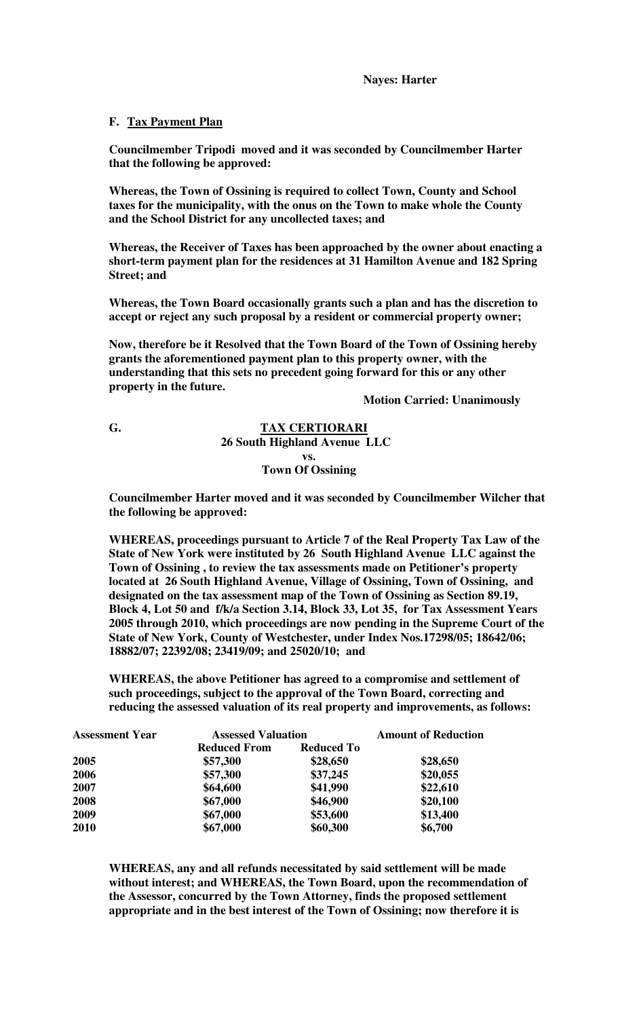### **F. Tax Payment Plan**

**Councilmember Tripodi moved and it was seconded by Councilmember Harter that the following be approved:** 

**Whereas, the Town of Ossining is required to collect Town, County and School taxes for the municipality, with the onus on the Town to make whole the County and the School District for any uncollected taxes; and** 

**Whereas, the Receiver of Taxes has been approached by the owner about enacting a short-term payment plan for the residences at 31 Hamilton Avenue and 182 Spring Street; and** 

**Whereas, the Town Board occasionally grants such a plan and has the discretion to accept or reject any such proposal by a resident or commercial property owner;** 

**Now, therefore be it Resolved that the Town Board of the Town of Ossining hereby grants the aforementioned payment plan to this property owner, with the understanding that this sets no precedent going forward for this or any other property in the future.** 

 **Motion Carried: Unanimously** 

## **G. TAX CERTIORARI 26 South Highland Avenue LLC vs. Town Of Ossining**

**Councilmember Harter moved and it was seconded by Councilmember Wilcher that the following be approved:** 

**WHEREAS, proceedings pursuant to Article 7 of the Real Property Tax Law of the State of New York were instituted by 26 South Highland Avenue LLC against the Town of Ossining , to review the tax assessments made on Petitioner's property located at 26 South Highland Avenue, Village of Ossining, Town of Ossining, and designated on the tax assessment map of the Town of Ossining as Section 89.19, Block 4, Lot 50 and f/k/a Section 3.14, Block 33, Lot 35, for Tax Assessment Years 2005 through 2010, which proceedings are now pending in the Supreme Court of the State of New York, County of Westchester, under Index Nos.17298/05; 18642/06; 18882/07; 22392/08; 23419/09; and 25020/10; and** 

**WHEREAS, the above Petitioner has agreed to a compromise and settlement of such proceedings, subject to the approval of the Town Board, correcting and reducing the assessed valuation of its real property and improvements, as follows:** 

| <b>Assessment Year</b> | <b>Assessed Valuation</b> | <b>Amount of Reduction</b> |          |
|------------------------|---------------------------|----------------------------|----------|
|                        | <b>Reduced From</b>       | <b>Reduced To</b>          |          |
| 2005                   | \$57,300                  | \$28,650                   | \$28,650 |
| 2006                   | \$57,300                  | \$37,245                   | \$20,055 |
| 2007                   | \$64,600                  | \$41,990                   | \$22,610 |
| 2008                   | \$67,000                  | \$46,900                   | \$20,100 |
| 2009                   | \$67,000                  | \$53,600                   | \$13,400 |
| 2010                   | \$67,000                  | \$60,300                   | \$6,700  |

**WHEREAS, any and all refunds necessitated by said settlement will be made without interest; and WHEREAS, the Town Board, upon the recommendation of the Assessor, concurred by the Town Attorney, finds the proposed settlement appropriate and in the best interest of the Town of Ossining; now therefore it is**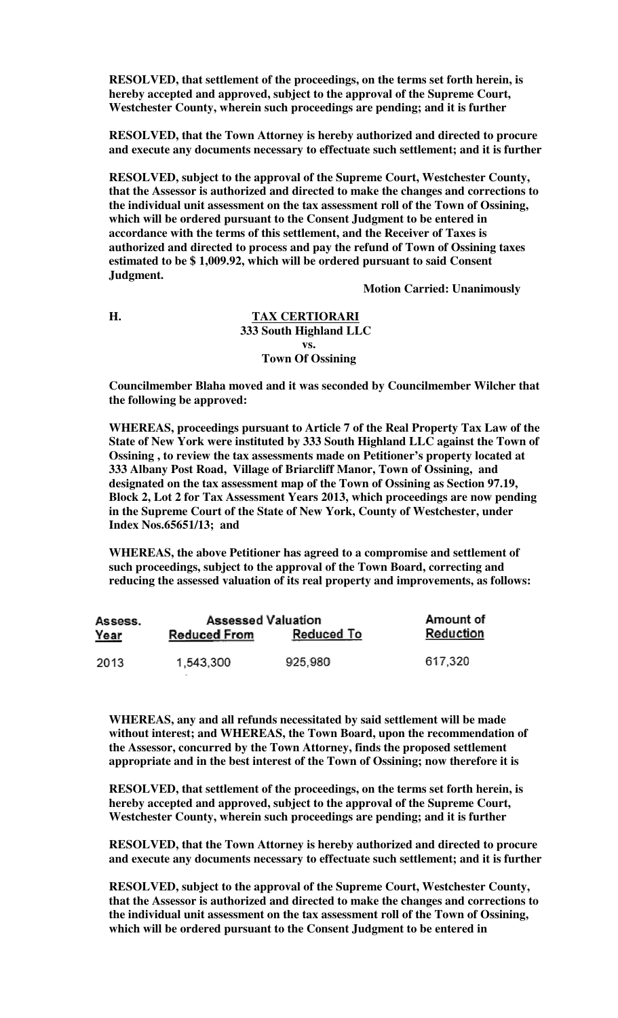**RESOLVED, that settlement of the proceedings, on the terms set forth herein, is hereby accepted and approved, subject to the approval of the Supreme Court, Westchester County, wherein such proceedings are pending; and it is further** 

**RESOLVED, that the Town Attorney is hereby authorized and directed to procure and execute any documents necessary to effectuate such settlement; and it is further** 

**RESOLVED, subject to the approval of the Supreme Court, Westchester County, that the Assessor is authorized and directed to make the changes and corrections to the individual unit assessment on the tax assessment roll of the Town of Ossining, which will be ordered pursuant to the Consent Judgment to be entered in accordance with the terms of this settlement, and the Receiver of Taxes is authorized and directed to process and pay the refund of Town of Ossining taxes estimated to be \$ 1,009.92, which will be ordered pursuant to said Consent Judgment.** 

 **Motion Carried: Unanimously** 

### **H. TAX CERTIORARI 333 South Highland LLC vs. Town Of Ossining**

**Councilmember Blaha moved and it was seconded by Councilmember Wilcher that the following be approved:** 

**WHEREAS, proceedings pursuant to Article 7 of the Real Property Tax Law of the State of New York were instituted by 333 South Highland LLC against the Town of Ossining , to review the tax assessments made on Petitioner's property located at 333 Albany Post Road, Village of Briarcliff Manor, Town of Ossining, and designated on the tax assessment map of the Town of Ossining as Section 97.19, Block 2, Lot 2 for Tax Assessment Years 2013, which proceedings are now pending in the Supreme Court of the State of New York, County of Westchester, under Index Nos.65651/13; and** 

**WHEREAS, the above Petitioner has agreed to a compromise and settlement of such proceedings, subject to the approval of the Town Board, correcting and reducing the assessed valuation of its real property and improvements, as follows:** 

| Assess.     | <b>Assessed Valuation</b> | Amount of         |           |
|-------------|---------------------------|-------------------|-----------|
| <u>Year</u> | <b>Reduced From</b>       | <b>Reduced To</b> | Reduction |
| 2013        | 1,543,300                 | 925,980           | 617,320   |

**WHEREAS, any and all refunds necessitated by said settlement will be made without interest; and WHEREAS, the Town Board, upon the recommendation of the Assessor, concurred by the Town Attorney, finds the proposed settlement appropriate and in the best interest of the Town of Ossining; now therefore it is** 

**RESOLVED, that settlement of the proceedings, on the terms set forth herein, is hereby accepted and approved, subject to the approval of the Supreme Court, Westchester County, wherein such proceedings are pending; and it is further** 

**RESOLVED, that the Town Attorney is hereby authorized and directed to procure and execute any documents necessary to effectuate such settlement; and it is further** 

**RESOLVED, subject to the approval of the Supreme Court, Westchester County, that the Assessor is authorized and directed to make the changes and corrections to the individual unit assessment on the tax assessment roll of the Town of Ossining, which will be ordered pursuant to the Consent Judgment to be entered in**